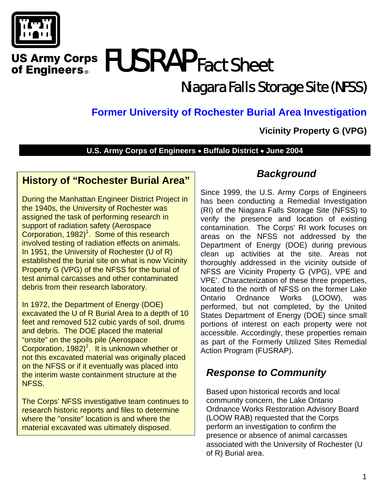

# US Army Corps **FUSRAP** Fact Sheet of Engineers<sup>®</sup>

# Niagara Falls Storage Site (NFSS)

# **Former University of Rochester Burial Area Investigation**

#### **Vicinity Property G (VPG)**

#### **U.S. Army Corps of Engineers** • **Buffalo District** • **June 2004**

#### **History of "Rochester Burial Area"**

During the Manhattan Engineer District Project in the 1940s, the University of Rochester was assigned the task of performing research in support of radiation safety (Aerospace Corporation,  $1982$ <sup>1</sup>. Some of this research involved testing of radiation effects on animals. In 1951, the University of Rochester (U of R) established the burial site on what is now Vicinity Property G (VPG) of the NFSS for the burial of test animal carcasses and other contaminated debris from their research laboratory.

In 1972, the Department of Energy (DOE) excavated the U of R Burial Area to a depth of 10 feet and removed 512 cubic yards of soil, drums and debris. The DOE placed the material "onsite" on the spoils pile (Aerospace Corporation,  $1982$ <sup>1</sup>. It is unknown whether or not this excavated material was originally placed on the NFSS or if it eventually was placed into the interim waste containment structure at the NFSS.

The Corps' NFSS investigative team continues to research historic reports and files to determine where the "onsite" location is and where the material excavated was ultimately disposed.

#### *Background*

Since 1999, the U.S. Army Corps of Engineers has been conducting a Remedial Investigation (RI) of the Niagara Falls Storage Site (NFSS) to verify the presence and location of existing contamination. The Corps' RI work focuses on areas on the NFSS not addressed by the Department of Energy (DOE) during previous clean up activities at the site. Areas not thoroughly addressed in the vicinity outside of NFSS are Vicinity Property G (VPG), VPE and VPE'. Characterization of these three properties, located to the north of NFSS on the former Lake Ontario Ordnance Works (LOOW), was performed, but not completed, by the United States Department of Energy (DOE) since small portions of interest on each property were not accessible. Accordingly, these properties remain as part of the Formerly Utilized Sites Remedial Action Program (FUSRAP).

### *Response to Community*

Based upon historical records and local community concern, the Lake Ontario Ordnance Works Restoration Advisory Board (LOOW RAB) requested that the Corps perform an investigation to confirm the presence or absence of animal carcasses associated with the University of Rochester (U of R) Burial area.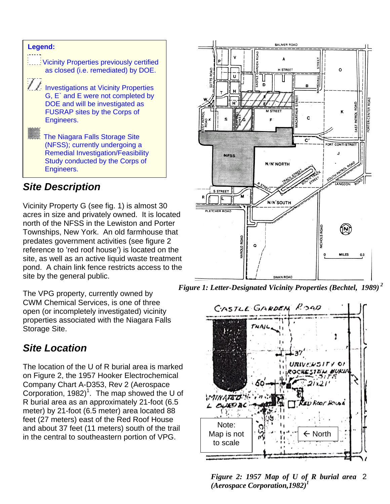

### *Site Description*

Vicinity Property G (see fig. 1) is almost 30 acres in size and privately owned. It is located north of the NFSS in the Lewiston and Porter Townships, New York. An old farmhouse that predates government activities (see figure 2 reference to 'red roof house') is located on the site, as well as an active liquid waste treatment pond. A chain link fence restricts access to the site by the general public.

The VPG property, currently owned by CWM Chemical Services, is one of three open (or incompletely investigated) vicinity properties associated with the Niagara Falls Storage Site.

# *Site Location*

The location of the U of R burial area is marked on Figure 2, the 1957 Hooker Electrochemical Company Chart A-D353, Rev 2 (Aerospace Corporation, 1982)<sup>1</sup>. The map showed the U of R burial area as an approximately 21-foot (6.5 meter) by 21-foot (6.5 meter) area located 88 feet (27 meters) east of the Red Roof House and about 37 feet (11 meters) south of the trail in the central to southeastern portion of VPG.



 *Figure 1: Letter-Designated Vicinity Properties (Bechtel, 1989) <sup>2</sup>*



2 *Figure 2: 1957 Map of U of R burial area (Aerospace Corporation,1982)<sup>1</sup>*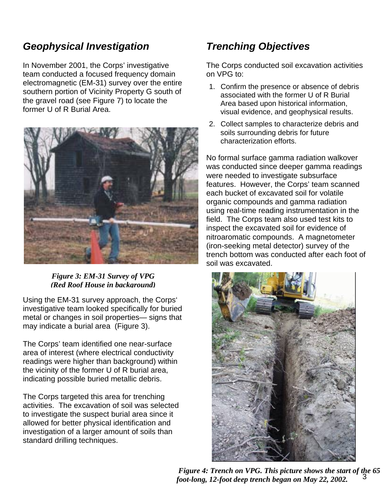## *Geophysical Investigation*

In November 2001, the Corps' investigative team conducted a focused frequency domain electromagnetic (EM-31) survey over the entire southern portion of Vicinity Property G south of the gravel road (see Figure 7) to locate the former U of R Burial Area.



*Figure 3: EM-31 Survey of VPG (Red Roof House in background)*

Using the EM-31 survey approach, the Corps' investigative team looked specifically for buried metal or changes in soil properties— signs that may indicate a burial area (Figure 3).

The Corps' team identified one near-surface area of interest (where electrical conductivity readings were higher than background) within the vicinity of the former U of R burial area, indicating possible buried metallic debris.

The Corps targeted this area for trenching activities. The excavation of soil was selected to investigate the suspect burial area since it allowed for better physical identification and investigation of a larger amount of soils than standard drilling techniques.

## *Trenching Objectives*

The Corps conducted soil excavation activities on VPG to:

- 1. Confirm the presence or absence of debris associated with the former U of R Burial Area based upon historical information, visual evidence, and geophysical results.
- 2. Collect samples to characterize debris and soils surrounding debris for future characterization efforts.

No formal surface gamma radiation walkover was conducted since deeper gamma readings were needed to investigate subsurface features. However, the Corps' team scanned each bucket of excavated soil for volatile organic compounds and gamma radiation using real-time reading instrumentation in the field. The Corps team also used test kits to inspect the excavated soil for evidence of nitroaromatic compounds. A magnetometer (iron-seeking metal detector) survey of the trench bottom was conducted after each foot of soil was excavated.



3  *Figure 4: Trench on VPG. This picture shows the start of the 65 foot-long, 12-foot deep trench began on May 22, 2002.*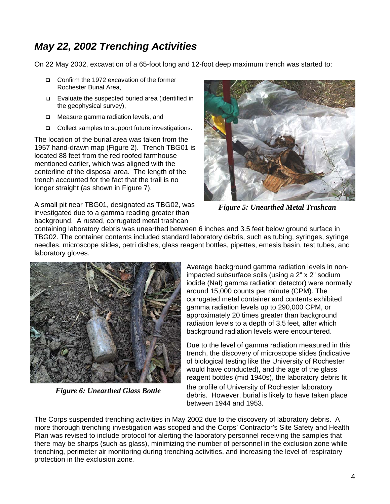# *May 22, 2002 Trenching Activities*

On 22 May 2002, excavation of a 65-foot long and 12-foot deep maximum trench was started to:

- Confirm the 1972 excavation of the former Rochester Burial Area,
- Evaluate the suspected buried area (identified in the geophysical survey),
- □ Measure gamma radiation levels, and
- □ Collect samples to support future investigations.

The location of the burial area was taken from the 1957 hand-drawn map (Figure 2). Trench TBG01 is located 88 feet from the red roofed farmhouse mentioned earlier, which was aligned with the centerline of the disposal area. The length of the trench accounted for the fact that the trail is no longer straight (as shown in Figure 7).

A small pit near TBG01, designated as TBG02, was investigated due to a gamma reading greater than background. A rusted, corrugated metal trashcan



*Figure 5: Unearthed Metal Trashcan* 

containing laboratory debris was unearthed between 6 inches and 3.5 feet below ground surface in TBG02. The container contents included standard laboratory debris, such as tubing, syringes, syringe needles, microscope slides, petri dishes, glass reagent bottles, pipettes, emesis basin, test tubes, and laboratory gloves.



*Figure 6: Unearthed Glass Bottle* 

Average background gamma radiation levels in nonimpacted subsurface soils (using a 2" x 2" sodium iodide (NaI) gamma radiation detector) were normally around 15,000 counts per minute (CPM). The corrugated metal container and contents exhibited gamma radiation levels up to 290,000 CPM, or approximately 20 times greater than background radiation levels to a depth of 3.5 feet, after which background radiation levels were encountered.

Due to the level of gamma radiation measured in this trench, the discovery of microscope slides (indicative of biological testing like the University of Rochester would have conducted), and the age of the glass reagent bottles (mid 1940s), the laboratory debris fit the profile of University of Rochester laboratory debris. However, burial is likely to have taken place between 1944 and 1953.

The Corps suspended trenching activities in May 2002 due to the discovery of laboratory debris. A more thorough trenching investigation was scoped and the Corps' Contractor's Site Safety and Health Plan was revised to include protocol for alerting the laboratory personnel receiving the samples that there may be sharps (such as glass), minimizing the number of personnel in the exclusion zone while trenching, perimeter air monitoring during trenching activities, and increasing the level of respiratory protection in the exclusion zone*.*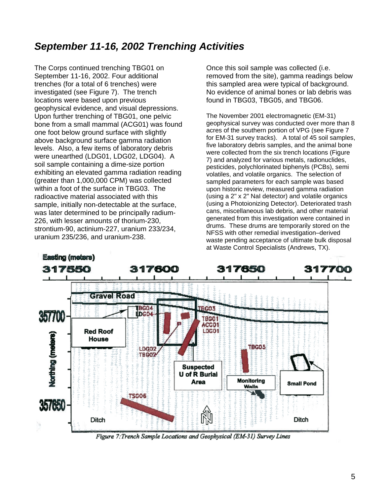# *September 11-16, 2002 Trenching Activities*

The Corps continued trenching TBG01 on September 11-16, 2002. Four additional trenches (for a total of 6 trenches) were investigated (see Figure 7). The trench locations were based upon previous geophysical evidence, and visual depressions. Upon further trenching of TBG01, one pelvic bone from a small mammal (ACG01) was found one foot below ground surface with slightly above background surface gamma radiation levels. Also, a few items of laboratory debris were unearthed (LDG01, LDG02, LDG04). A soil sample containing a dime-size portion exhibiting an elevated gamma radiation reading (greater than 1,000,000 CPM) was collected within a foot of the surface in TBG03. The radioactive material associated with this sample, initially non-detectable at the surface, was later determined to be principally radium-226, with lesser amounts of thorium-230, strontium-90, actinium-227, uranium 233/234, uranium 235/236, and uranium-238.

Once this soil sample was collected (i.e. removed from the site), gamma readings below this sampled area were typical of background. No evidence of animal bones or lab debris was found in TBG03, TBG05, and TBG06.

The November 2001 electromagnetic (EM-31) geophysical survey was conducted over more than 8 acres of the southern portion of VPG (see Figure 7 for EM-31 survey tracks). A total of 45 soil samples, five laboratory debris samples, and the animal bone were collected from the six trench locations (Figure 7) and analyzed for various metals, radionuclides, pesticides, polychlorinated biphenyls (PCBs), semi volatiles, and volatile organics. The selection of sampled parameters for each sample was based upon historic review, measured gamma radiation (using a 2" x 2" NaI detector) and volatile organics (using a Photoionizing Detector). Deteriorated trash cans, miscellaneous lab debris, and other material generated from this investigation were contained in drums. These drums are temporarily stored on the NFSS with other remedial investigation–derived waste pending acceptance of ultimate bulk disposal at Waste Control Specialists (Andrews, TX).



Figure 7: Trench Sample Locations and Geophysical (EM-31) Survey Lines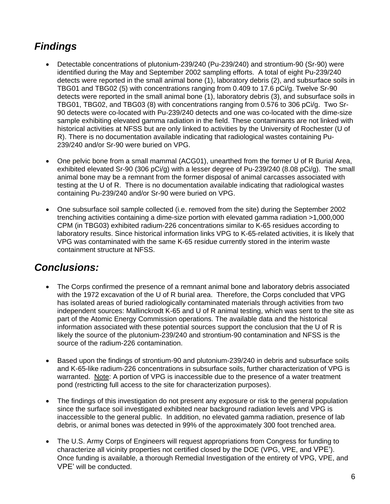# *Findings*

- Detectable concentrations of plutonium-239/240 (Pu-239/240) and strontium-90 (Sr-90) were identified during the May and September 2002 sampling efforts. A total of eight Pu-239/240 detects were reported in the small animal bone (1), laboratory debris (2), and subsurface soils in TBG01 and TBG02 (5) with concentrations ranging from 0.409 to 17.6 pCi/g. Twelve Sr-90 detects were reported in the small animal bone (1), laboratory debris (3), and subsurface soils in TBG01, TBG02, and TBG03 (8) with concentrations ranging from 0.576 to 306 pCi/g. Two Sr-90 detects were co-located with Pu-239/240 detects and one was co-located with the dime-size sample exhibiting elevated gamma radiation in the field. These contaminants are not linked with historical activities at NFSS but are only linked to activities by the University of Rochester (U of R). There is no documentation available indicating that radiological wastes containing Pu-239/240 and/or Sr-90 were buried on VPG.
- One pelvic bone from a small mammal (ACG01), unearthed from the former U of R Burial Area, exhibited elevated Sr-90 (306 pCi/g) with a lesser degree of Pu-239/240 (8.08 pCi/g). The small animal bone may be a remnant from the former disposal of animal carcasses associated with testing at the U of R. There is no documentation available indicating that radiological wastes containing Pu-239/240 and/or Sr-90 were buried on VPG.
- One subsurface soil sample collected (i.e. removed from the site) during the September 2002 trenching activities containing a dime-size portion with elevated gamma radiation >1,000,000 CPM (in TBG03) exhibited radium-226 concentrations similar to K-65 residues according to laboratory results. Since historical information links VPG to K-65-related activities, it is likely that VPG was contaminated with the same K-65 residue currently stored in the interim waste containment structure at NFSS.

#### *Conclusions:*

- The Corps confirmed the presence of a remnant animal bone and laboratory debris associated with the 1972 excavation of the U of R burial area. Therefore, the Corps concluded that VPG has isolated areas of buried radiologically contaminated materials through activities from two independent sources: Mallinckrodt K-65 and U of R animal testing, which was sent to the site as part of the Atomic Energy Commission operations. The available data and the historical information associated with these potential sources support the conclusion that the U of R is likely the source of the plutonium-239/240 and strontium-90 contamination and NFSS is the source of the radium-226 contamination.
- Based upon the findings of strontium-90 and plutonium-239/240 in debris and subsurface soils and K-65-like radium-226 concentrations in subsurface soils, further characterization of VPG is warranted. Note: A portion of VPG is inaccessible due to the presence of a water treatment pond (restricting full access to the site for characterization purposes).
- The findings of this investigation do not present any exposure or risk to the general population since the surface soil investigated exhibited near background radiation levels and VPG is inaccessible to the general public.In addition, no elevated gamma radiation, presence of lab debris, or animal bones was detected in 99% of the approximately 300 foot trenched area.
- The U.S. Army Corps of Engineers will request appropriations from Congress for funding to characterize all vicinity properties not certified closed by the DOE (VPG, VPE, and VPE'). Once funding is available, a thorough Remedial Investigation of the entirety of VPG, VPE, and VPE' will be conducted.